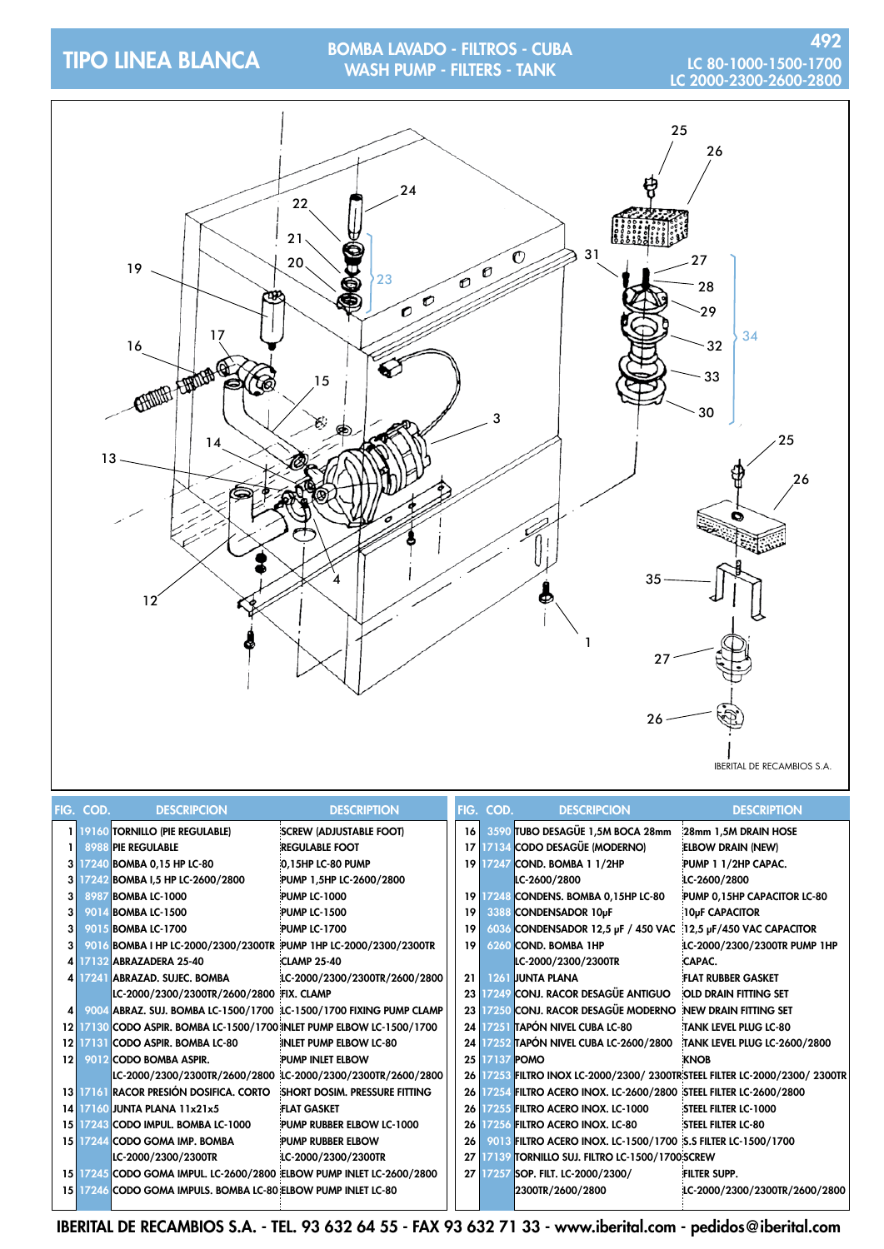## tipo LINEA BLANCA BOMBA LAVADO - FILTROS - CUBA WASH PUMP - FILTERS - TANK

# LC 80-1000-1500-1700<br>LC 2000-2300-2600-2800



IBERITAL DE RECAMBIOS S.A.

|         | FIG. COD. | <b>DESCRIPCION</b>                                                    | <b>DESCRIPTION</b>                                          |                 | FIG. COD.     | <b>DESCRIPCION</b>                                              | <b>DESCRIPTION</b>                                                          |
|---------|-----------|-----------------------------------------------------------------------|-------------------------------------------------------------|-----------------|---------------|-----------------------------------------------------------------|-----------------------------------------------------------------------------|
|         |           | 1 19160 TORNILLO (PIE REGULABLE)                                      | <b>SCREW (ADJUSTABLE FOOT)</b>                              | 16              |               | 3590 TUBO DESAGÜE 1,5M BOCA 28mm                                | 28mm 1,5M DRAIN HOSE                                                        |
|         |           | <b>8988 PIE REGULABLE</b>                                             | <b>REGULABLE FOOT</b>                                       | 17 <sup>1</sup> |               | 17134 CODO DESAGÜE (MODERNO)                                    | <b>ELBOW DRAIN (NEW)</b>                                                    |
|         |           | 3 17240 BOMBA 0,15 HP LC-80                                           | 0.15HP LC-80 PUMP                                           | 19 I            |               | 17247 COND. BOMBA 1 1/2HP                                       | PUMP 1 1/2HP CAPAC.                                                         |
|         |           | 3 17242 BOMBA 1,5 HP LC-2600/2800                                     | PUMP 1.5HP LC-2600/2800                                     |                 |               | LC-2600/2800                                                    | LC-2600/2800                                                                |
| 3       |           | 8987 BOMBA LC-1000                                                    | <b>PUMP LC-1000</b>                                         | 19 I            |               | 17248 CONDENS. BOMBA 0,15HP LC-80                               | PUMP 0,15HP CAPACITOR LC-80                                                 |
| 3       |           | 9014 BOMBA LC-1500                                                    | <b>PUMP LC-1500</b>                                         | 19              |               | 3388 CONDENSADOR 10µF                                           | 10µF CAPACITOR                                                              |
| 3       |           | 9015 BOMBA LC-1700                                                    | <b>PUMP LC-1700</b>                                         | 19              |               | 6036 CONDENSADOR 12,5 µF / 450 VAC 12,5 µF/450 VAC CAPACITOR    |                                                                             |
| 3       |           | 9016 BOMBA I HP LC-2000/2300/2300TR PUMP 1HP LC-2000/2300/2300TR      |                                                             | 19 <sup>1</sup> |               | 6260 COND. BOMBA 1HP                                            | LC-2000/2300/2300TR PUMP 1HP                                                |
|         |           | 4 17132 ABRAZADERA 25-40                                              | <b>CLAMP 25-40</b>                                          |                 |               | LC-2000/2300/2300TR                                             | <b>CAPAC.</b>                                                               |
|         |           | 4 17241 ABRAZAD. SUJEC. BOMBA                                         | LC-2000/2300/2300TR/2600/2800                               | 21 <sup>1</sup> |               | 1261 JUNTA PLANA                                                | <b>FLAT RUBBER GASKET</b>                                                   |
|         |           | LC-2000/2300/2300TR/2600/2800 FIX. CLAMP                              |                                                             |                 |               | 23 17249 CONJ. RACOR DESAGÜE ANTIGUO                            | OLD DRAIN FITTING SET                                                       |
| $\vert$ |           | 9004 ABRAZ. SUJ. BOMBA LC-1500/1700 LC-1500/1700 FIXING PUMP CLAMP    |                                                             |                 |               | 23 17250 CONJ. RACOR DESAGÜE MODERNO NEW DRAIN FITTING SET      |                                                                             |
|         |           | 12 17130 CODO ASPIR. BOMBA LC-1500/1700 INLET PUMP ELBOW LC-1500/1700 |                                                             |                 |               | 24 17251 TAPÓN NIVEL CUBA LC-80                                 | TANK LEVEL PLUG LC-80                                                       |
|         |           | 12 17131 CODO ASPIR. BOMBA LC-80                                      | INLET PUMP ELBOW LC-80                                      |                 |               | 24 17252 TAPÓN NIVEL CUBA LC-2600/2800                          | TANK LEVEL PLUG LC-2600/2800                                                |
| 121     |           | 9012 CODO BOMBA ASPIR.                                                | PUMP INLET ELBOW                                            |                 | 25 17137 POMO |                                                                 | <b>KNOB</b>                                                                 |
|         |           |                                                                       | LC-2000/2300/2300TR/2600/2800 LC-2000/2300/2300TR/2600/2800 |                 |               |                                                                 | 26 17253 FILTRO INOX LC-2000/2300/ 2300TR:STEEL FILTER LC-2000/2300/ 2300TR |
|         |           | 13 17161 RACOR PRESIÓN DOSIFICA. CORTO                                | <b>SHORT DOSIM. PRESSURE FITTING</b>                        | ا 26            |               | 17254 FILTRO ACERO INOX. LC-2600/2800 STEEL FILTER LC-2600/2800 |                                                                             |
|         |           | 14 7160 JUNTA PLANA 11x21x5                                           | <b>FLAT GASKET</b>                                          | 26 <sub>1</sub> |               | <b>17255 FILTRO ACERO INOX. LC-1000</b>                         | <b>STEEL FILTER LC-1000</b>                                                 |
|         |           | 15 17243 CODO IMPUL. BOMBA LC-1000                                    | PUMP RUBBER ELBOW LC-1000                                   | 26 <sub>1</sub> |               | 17256 FILTRO ACERO INOX. LC-80                                  | <b>STEEL FILTER LC-80</b>                                                   |
|         |           | 15 17244 CODO GOMA IMP. BOMBA                                         | PUMP RUBBER ELBOW                                           | 26              |               | 9013 FILTRO ACERO INOX. LC-1500/1700 5.5 FILTER LC-1500/1700    |                                                                             |
|         |           | LC-2000/2300/2300TR                                                   | LC-2000/2300/2300TR                                         | 27              |               | 17139 Tornillo suj. Filtro LC-1500/1700 SCREW                   |                                                                             |
|         |           | 15 17245 CODO GOMA IMPUL. LC-2600/2800 ELBOW PUMP INLET LC-2600/2800  |                                                             |                 |               | 27 17257 SOP. FILT. LC-2000/2300/                               | <b>FILTER SUPP.</b>                                                         |
|         |           | 15 17246 CODO GOMA IMPULS. BOMBA LC-80 ELBOW PUMP INLET LC-80         |                                                             |                 |               | 2300TR/2600/2800                                                | LC-2000/2300/2300TR/2600/2800                                               |
|         |           |                                                                       |                                                             |                 |               |                                                                 |                                                                             |

IBERITAL DE RECAMBIOS S.A. - TEL. 93 632 64 55 - FAX 93 632 71 33 - www.iberital.com - pedidos@iberital.com